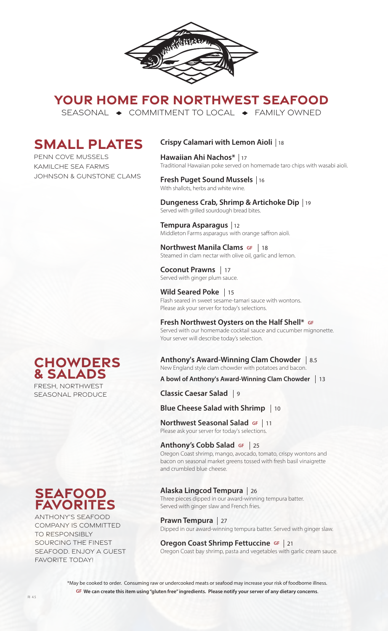

**YOUR HOME FOR NORTHWEST SEAFOOD**

SEASONAL  $\rightarrow$  COMMITMENT TO LOCAL  $\rightarrow$  FAMILY OWNED

# **SMALL PLATES**

PENN COVE MUSSELS KAMILCHE SEA FARMS JOHNSON & GUNSTONE CLAMS

## **Crispy Calamari with Lemon Aioli**  18

**Hawaiian Ahi Nachos\***  17 Traditional Hawaiian poke served on homemade taro chips with wasabi aioli.

#### **Fresh Puget Sound Mussels**  16 With shallots, herbs and white wine.

**Dungeness Crab, Shrimp & Artichoke Dip**  19  Served with grilled sourdough bread bites.

**Tempura Asparagus**  12 Middleton Farms asparagus with orange saffron aioli.

**Northwest Manila Clams GF** | 18 **NOT LITWEST MATTIME CRAITS SET 118**<br>Steamed in clam nectar with olive oil, garlic and lemon.

**Coconut Prawns** 17 Served with ginger plum sauce.

**Wild Seared Poke**  15 Flash seared in sweet sesame-tamari sauce with wontons. Please ask your server for today's selections.

## **Fresh Northwest Oysters on the Half Shell\* GF**

Served with our homemade cocktail sauce and cucumber mignonette. Your server will describe today's selection.

**Anthony's Award-Winning Clam Chowder**  8.5New England style clam chowder with potatoes and bacon.

**A bowl of Anthony's Award-Winning Clam Chowder**  13

**Classic Caesar Salad**  9

# **Blue Cheese Salad with Shrimp**  10

**Northwest Seasonal Salad GF Northwest Seasonal Salad GF | 11<br>Please ask your server for today's selections.** 

## **Anthony's Cobb Salad GF**

<sup>25</sup>Oregon Coast shrimp, mango, avocado, tomato, crispy wontons and bacon on seasonal market greens tossed with fresh basil vinaigrette and crumbled blue cheese.

## **Alaska Lingcod Tempura**  26

 Three pieces dipped in our award-winning tempura batter. Served with ginger slaw and French fries.

**Prawn Tempura Prawn Tempura** | 27<br>Dipped in our award-winning tempura batter. Served with ginger slaw.

## **Oregon Coast Shrimp Fettuccine GF | 21**

**Oregon Coast Shrimp rettuctine GP** | 21<br>Oregon Coast bay shrimp, pasta and vegetables with garlic cream sauce.

\*May be cooked to order. Consuming raw or undercooked meats or seafood may increase your risk of foodborne illness. **GF We can create this item using "gluten free" ingredients. Please notify your server of any dietary concerns**.

# **Chowders & Salads**

FRESH, NORTHWEST SEASONAL PRODUCE

# **seafood favorites**

ANTHONY'S SEAFOOD COMPANY IS COMMITTED TO RESPONSIBLY SOURCING THE FINEST SEAFOOD. ENJOY A GUEST FAVORITE TODAY!